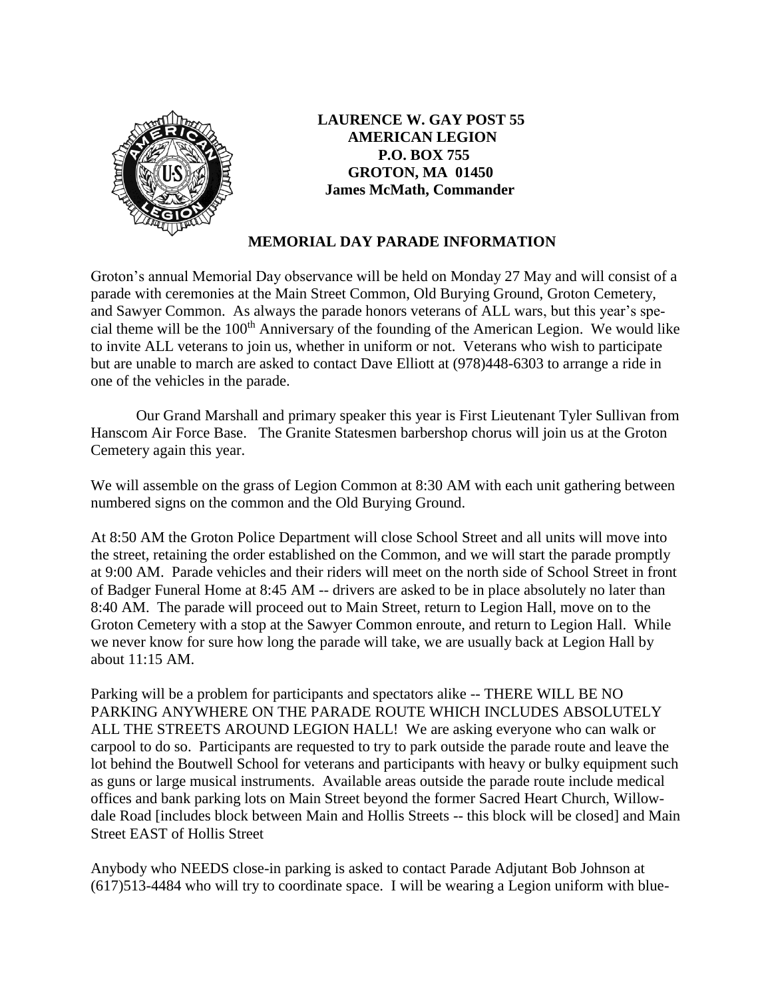

**LAURENCE W. GAY POST 55 AMERICAN LEGION P.O. BOX 755 GROTON, MA 01450 James McMath, Commander**

## **MEMORIAL DAY PARADE INFORMATION**

Groton's annual Memorial Day observance will be held on Monday 27 May and will consist of a parade with ceremonies at the Main Street Common, Old Burying Ground, Groton Cemetery, and Sawyer Common. As always the parade honors veterans of ALL wars, but this year's special theme will be the 100<sup>th</sup> Anniversary of the founding of the American Legion. We would like to invite ALL veterans to join us, whether in uniform or not. Veterans who wish to participate but are unable to march are asked to contact Dave Elliott at (978)448-6303 to arrange a ride in one of the vehicles in the parade.

Our Grand Marshall and primary speaker this year is First Lieutenant Tyler Sullivan from Hanscom Air Force Base. The Granite Statesmen barbershop chorus will join us at the Groton Cemetery again this year.

We will assemble on the grass of Legion Common at 8:30 AM with each unit gathering between numbered signs on the common and the Old Burying Ground.

At 8:50 AM the Groton Police Department will close School Street and all units will move into the street, retaining the order established on the Common, and we will start the parade promptly at 9:00 AM. Parade vehicles and their riders will meet on the north side of School Street in front of Badger Funeral Home at 8:45 AM -- drivers are asked to be in place absolutely no later than 8:40 AM. The parade will proceed out to Main Street, return to Legion Hall, move on to the Groton Cemetery with a stop at the Sawyer Common enroute, and return to Legion Hall. While we never know for sure how long the parade will take, we are usually back at Legion Hall by about 11:15 AM.

Parking will be a problem for participants and spectators alike -- THERE WILL BE NO PARKING ANYWHERE ON THE PARADE ROUTE WHICH INCLUDES ABSOLUTELY ALL THE STREETS AROUND LEGION HALL! We are asking everyone who can walk or carpool to do so. Participants are requested to try to park outside the parade route and leave the lot behind the Boutwell School for veterans and participants with heavy or bulky equipment such as guns or large musical instruments. Available areas outside the parade route include medical offices and bank parking lots on Main Street beyond the former Sacred Heart Church, Willowdale Road [includes block between Main and Hollis Streets -- this block will be closed] and Main Street EAST of Hollis Street

Anybody who NEEDS close-in parking is asked to contact Parade Adjutant Bob Johnson at (617)513-4484 who will try to coordinate space. I will be wearing a Legion uniform with blue